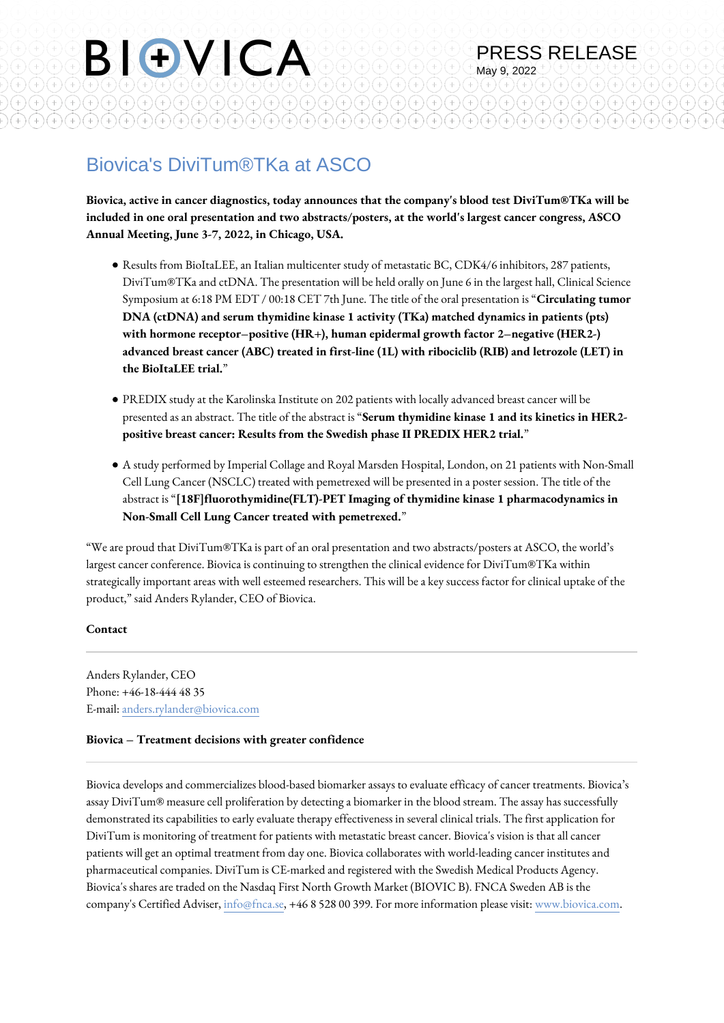# Biovica's DiviTum®TKa at ASCO

 $^{(+)}$ 

 $\widehat{H}(\widehat{H})\widehat{H}(\widehat{H})\widehat{H}(\widehat{H})\widehat{H}(\widehat{H})$ 

 $\left(\begin{matrix}+\\+ \end{matrix}\right)\left(\begin{matrix}+\\+ \end{matrix}\right)\left(\begin{matrix}+\\+ \end{matrix}\right)\left(\begin{matrix}+\\+ \end{matrix}\right)\left(\begin{matrix}+\\+ \end{matrix}\right)$ 

BIOVICA

 $\widehat{H}(\widehat{H})(\widehat{H})(\widehat{H})(\widehat{H})(\widehat{H})$ 

 $\bigoplus_{\mathfrak{m}}\mathfrak{m}(\mathfrak{m})\bigoplus_{\mathfrak{m}}\mathfrak{m}(\mathfrak{m})\bigoplus_{\mathfrak{m}}\mathfrak{m}(\mathfrak{m})\bigoplus_{\mathfrak{m}}\mathfrak{m}(\mathfrak{m})$ 

**Biovica, active in cancer diagnostics, today announces that the company's blood test DiviTum®TKa will be included in one oral presentation and two abstracts/posters, at the world's largest cancer congress, ASCO Annual Meeting, June 3-7, 2022, in Chicago, USA.**

 $^{+}$ 

 $^{(+)}$ 

PRESS RELEASE

 $+^{\circ}$ 

 $(+)$ 

May 9, 2022

 $^{+)}$ 

(+)

 $\ddot{\phantom{1}}$ 

(+

 $\widehat{H}(\widehat{H})(\widehat{H})(\widehat{H})(\widehat{H})$ 

 $\left(\begin{matrix}+\\+ \end{matrix}\right)\left(\begin{matrix}+\\+ \end{matrix}\right)\left(\begin{matrix}+\\+ \end{matrix}\right)\left(\begin{matrix}+\\+ \end{matrix}\right)\left(\begin{matrix}+\\+ \end{matrix}\right)\left(\begin{matrix}+\\+ \end{matrix}\right)$ 

- Results from BioItaLEE, an Italian multicenter study of metastatic BC, CDK4/6 inhibitors, 287 patients, DiviTum®TKa and ctDNA. The presentation will be held orally on June 6 in the largest hall, Clinical Science Symposium at 6:18 PM EDT / 00:18 CET 7th June. The title of the oral presentation is "**Circulating tumor DNA (ctDNA) and serum thymidine kinase 1 activity (TKa) matched dynamics in patients (pts) with hormone receptor–positive (HR+), human epidermal growth factor 2–negative (HER2-) advanced breast cancer (ABC) treated in first-line (1L) with ribociclib (RIB) and letrozole (LET) in the BioItaLEE trial.**"
- PREDIX study at the Karolinska Institute on 202 patients with locally advanced breast cancer will be presented as an abstract. The title of the abstract is "**Serum thymidine kinase 1 and its kinetics in HER2 positive breast cancer: Results from the Swedish phase II PREDIX HER2 trial.**"
- A study performed by Imperial Collage and Royal Marsden Hospital, London, on 21 patients with Non-Small Cell Lung Cancer (NSCLC) treated with pemetrexed will be presented in a poster session. The title of the abstract is "**[18F]fluorothymidine(FLT)-PET Imaging of thymidine kinase 1 pharmacodynamics in Non-Small Cell Lung Cancer treated with pemetrexed.**"

"We are proud that DiviTum®TKa is part of an oral presentation and two abstracts/posters at ASCO, the world's largest cancer conference. Biovica is continuing to strengthen the clinical evidence for DiviTum®TKa within strategically important areas with well esteemed researchers. This will be a key success factor for clinical uptake of the product," said Anders Rylander, CEO of Biovica.

### **Contact**

Anders Rylander, CEO Phone: +46-18-444 48 35 E-mail: [anders.rylander@biovica.com](mailto:anders.rylander@biovica.com)

### **Biovica – Treatment decisions with greater confidence**

Biovica develops and commercializes blood-based biomarker assays to evaluate efficacy of cancer treatments. Biovica's assay DiviTum® measure cell proliferation by detecting a biomarker in the blood stream. The assay has successfully demonstrated its capabilities to early evaluate therapy effectiveness in several clinical trials. The first application for DiviTum is monitoring of treatment for patients with metastatic breast cancer. Biovica's vision is that all cancer patients will get an optimal treatment from day one. Biovica collaborates with world-leading cancer institutes and pharmaceutical companies. DiviTum is CE-marked and registered with the Swedish Medical Products Agency. Biovica's shares are traded on the Nasdaq First North Growth Market (BIOVIC B). FNCA Sweden AB is the company's Certified Adviser, [info@fnca.se](mailto:info@fnca.se), +46 8 528 00 399. For more information please visit: [www.biovica.com.](http://www.biovica.com)